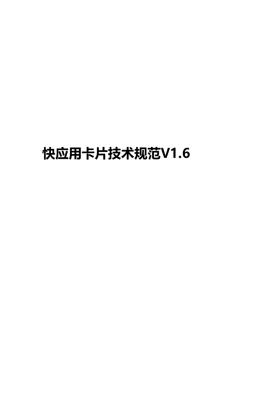# **快应用卡片技术规范V1.6**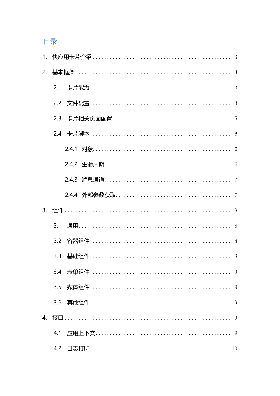# 目录

|                | 3.1 |
|----------------|-----|
|                |     |
|                | 3.3 |
|                |     |
|                | 3.5 |
|                |     |
| $\mathbf{4}$ . |     |
|                | 4.1 |
|                |     |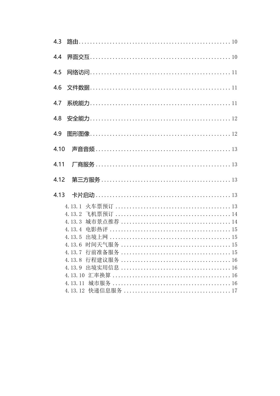| 4.4  |        |
|------|--------|
| 4.5  |        |
| 4.6  |        |
|      |        |
| 4.8  |        |
| 4.9  |        |
|      |        |
| 4.11 |        |
|      |        |
|      |        |
|      |        |
|      |        |
|      | 4.13.3 |
|      | 4.13.4 |
|      | 4.13.5 |
|      | 4.13.6 |
|      | 4.13.7 |
|      |        |
|      | 4.13.9 |
|      |        |
|      |        |
|      |        |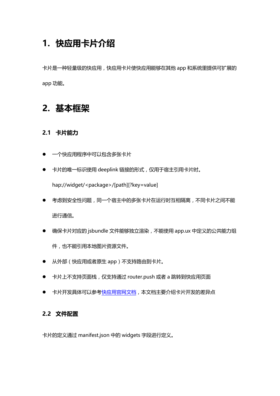# <span id="page-3-0"></span>**1. 快应用卡片介绍**

卡片是一种轻量级的快应用,快应用卡片使快应用能够在其他 app 和系统里提供可扩展的 app 功能。

# <span id="page-3-1"></span>**2. 基本框架**

### <span id="page-3-2"></span>**2.1 卡片能力**

- 一个快应用程序中可以包含多张卡片
- 卡片的唯一标识使用 deeplink 链接的形式, 仅用于宿主引用卡片时。

hap://widget/<package>/[path][?key=value]

- 考虑到安全性问题,同一个宿主中的多张卡片在运行时互相隔离,不同卡片之间不能 进行通信。
- 确保卡片对应的 jsbundle 文件能够独立渲染,不能使用 app.ux 中定义的公共能力组 件,也不能引用本地图片资源文件。
- **从外部(快应用或者原生 app)不支持路由到卡片。**
- 卡片上不支持页面栈, 仅支持通过 router.push 或者 a 跳转到快应用页面
- <span id="page-3-3"></span>● 卡片开发具体可以参[考快应用官网文档,](https://doc.quickapp.cn/)本文档主要介绍卡片开发的差异点

#### **2.2 文件配置**

卡片的定义通过 manifest.json 中的 widgets 字段进行定义。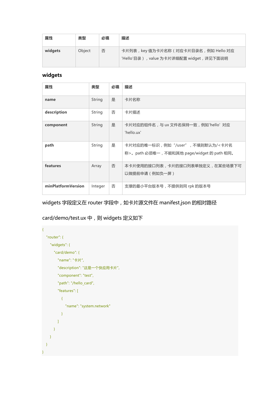| 属性      | 类型     | 必填 | 描述                                                                                  |
|---------|--------|----|-------------------------------------------------------------------------------------|
| widgets | Object | 否  | 卡片列表, key 值为卡片名称 ( 对应卡片目录名, 例如 Hello 对应<br>'Hello'目录), value 为卡片详细配置 widget, 详见下面说明 |

#### **widgets**

| 属性                 | 类型      | 必填 | 描述                                                                             |
|--------------------|---------|----|--------------------------------------------------------------------------------|
| name               | String  | 是  | 卡片名称                                                                           |
| description        | String  | 否  | 卡片描述                                                                           |
| component          | String  | 是  | 卡片对应的组件名,与 ux 文件名保持一致,例如'hello' 对应<br>'hello.ux'                               |
| path               | String  | 是  | 卡片对应的唯一标识, 例如"/user", 不填则默认为/<卡片名<br>称>。path 必须唯一,不能和其他 page/widget 的 path 相同。 |
| features           | Array   | 否  | 本卡片使用的接口列表,卡片的接口列表单独定义,在某些场景下可<br>以做提前申请(例如负一屏)                                |
| minPlatformVersion | Integer | 否  | 支撑的最小平台版本号,不提供则同 rpk 的版本号                                                      |

widgets 字段定义在 router 字段中,如卡片源文件在 manifest.json 的相对路径

card/demo/test.ux 中,则 widgets 定义如下

```
 "router": {
    "widgets": {
       "card/demo": {
         "name": "卡片", 
         "description": "这是一个快应用卡片", 
         "component": "test", 
         "path": "/hello_card", 
         "features": [
           {
              "name": "system.network"
           }
        \overline{1} }
    }
  }
}
```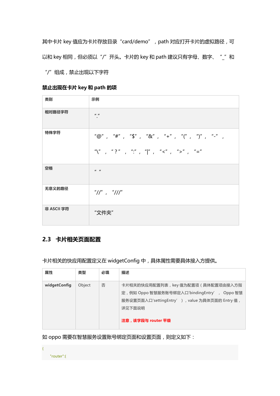其中卡片 key 值应为卡片存放目录"card/demo", path 对应打开卡片的虚拟路径, 可 以和 key 相同, 但必须以"/"开头。卡片的 key 和 path 建议只有字母、数字、"\_"和 "/"组成,禁止出现以下字符

**禁止出现在卡片 key 和 path 的项**

| 类别         | 示例                                                                                                                                                            |
|------------|---------------------------------------------------------------------------------------------------------------------------------------------------------------|
| 相对路径字符     | $II$ $II$<br>$\bullet$                                                                                                                                        |
| 特殊字符       | "@", "#", "\$", "&", "+", "(", ")", "-",                                                                                                                      |
|            | $\sum_{i=1}^{n} \binom{n}{i}$ . $\sum_{i=1}^{n} \binom{n}{i}$ . $\sum_{i=1}^{n} \binom{n}{i}$ . $\sum_{i=1}^{n} \binom{n}{i}$ . $\sum_{i=1}^{n} \binom{n}{i}$ |
| 空格         | $II$ $II$                                                                                                                                                     |
| 无意义的路径     | $''/T''$ , $''/T''$                                                                                                                                           |
| 非 ASCII 字符 | "文件夹"                                                                                                                                                         |

### <span id="page-5-0"></span>**2.3 卡片相关页面配置**

卡片相关的快应用配置定义在 widgetConfig 中,具体属性需要具体接入方提供。

| 属性           | 类型     | 必填 | 描述                                                                                                                                                                      |
|--------------|--------|----|-------------------------------------------------------------------------------------------------------------------------------------------------------------------------|
| widgetConfig | Object | 否  | 卡片相关的快应用配置列表, key 值为配置项 ( 具体配置项由接入方指<br>定, 例如 Oppo 智慧服务账号绑定入口'bindingEntry', Oppo 智慧<br>服务设置页面入口'settingEntry'), value 为具体页面的 Entry 值,<br>详见下面说明<br>注意 , 该字段与 router 平级 |

如 oppo 需要在智慧服务设置账号绑定页面和设置页面,则定义如下:

"router":{

{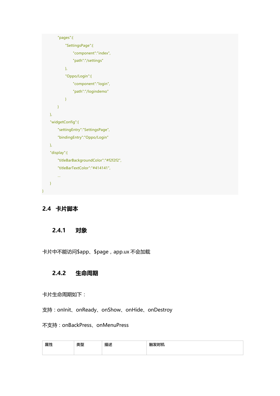```
 "pages":{
             "SettingsPage":{
                  "component":"index",
                  "path":"/settings"
             },
             "Oppo/Login":{
                  "component":"login",
                  "path":"/logindemo"
 }
         }
    },
    "widgetConfig":{
         "settingEntry":"SettingsPage",
         "bindingEntry":"Oppo/Login"
    },
    "display":{
         "titleBarBackgroundColor":"#f2f2f2",
         "titleBarTextColor":"#414141",
         …
    }
```
# **2.4 卡片脚本**

<span id="page-6-0"></span>}

#### <span id="page-6-1"></span>**2.4.1 对象**

<span id="page-6-2"></span>卡片中不能访问\$app、\$page, app.ux 不会加载

#### **2.4.2 生命周期**

#### 卡片生命周期如下:

支持:onInit、onReady、onShow、onHide、onDestroy

#### 不支持:onBackPress、onMenuPress

| 属性 | ALC TTH<br>$\sim$<br>~-- | 描述 | 轴发时机<br>. עד כי |
|----|--------------------------|----|-----------------|
|    |                          |    |                 |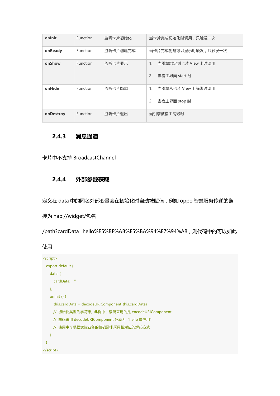| onlnit    | <b>Function</b> | 监听卡片初始化  | 当卡片完成初始化时调用,只触发一次                                        |
|-----------|-----------------|----------|----------------------------------------------------------|
| onReady   | <b>Function</b> | 监听卡片创建完成 | 当卡片完成创建可以显示时触发,只触发一次                                     |
| onShow    | <b>Function</b> | 监听卡片显示   | $1_{\cdot}$<br>当引擎绑定到卡片 View 上时调用<br>2.<br>当宿主界面 start 时 |
| onHide    | Function        | 监听卡片隐藏   | 1.<br>当引擎从卡片 View 上解绑时调用<br>2.<br>当宿主界面 stop 时           |
| onDestroy | <b>Function</b> | 监听卡片退出   | 当引擎被宿主销毁时                                                |

#### <span id="page-7-0"></span>**2.4.3 消息通道**

<span id="page-7-1"></span>卡片中不支持 BroadcastChannel

# **2.4.4 外部参数获取**

定义在 data 中的同名外部变量会在初始化时自动被赋值,例如 oppo 智慧服务传递的链

接为 hap://widget/包名

/path?cardData=hello%E5%BF%AB%E5%BA%94%E7%94%A8,则代码中的可以如此

使用

```
<script>
  export default {
  data: {
     cardData: ''
  },
  onInit () {
     this.cardData = decodeURIComponent(this.cardData)
    // 初始化类型为字符串, 此例中,编码采用的是 encodeURIComponent
    // 解码采用 decodeURIComponent 还原为"hello 快应用"
    // 使用中可根据实际业务的编码需求采用相对应的解码方式
  }
 }
</script>
```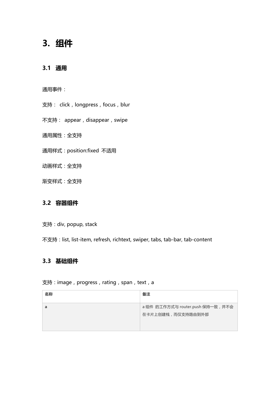# <span id="page-8-0"></span>**3. 组件**

## <span id="page-8-1"></span>**3.1 通用**

通用事件:

支持: click, longpress, focus, blur

不支持: appear, disappear, swipe

通用属性:全支持

通用样式:position:fixed 不适用

动画样式:全支持

渐变样式:全支持

# <span id="page-8-2"></span>**3.2 容器组件**

支持:div, popup, stack

不支持: list, list-item, refresh, richtext, swiper, tabs, tab-bar, tab-content

## <span id="page-8-3"></span>**3.3 基础组件**

#### 支持: image, progress, rating, span, text, a

| 名称 | 备注                                                     |
|----|--------------------------------------------------------|
| a  | a 组件 的工作方式与 router.push 保持一致, 并不会<br>在卡片上创建栈,而仅支持路由到外部 |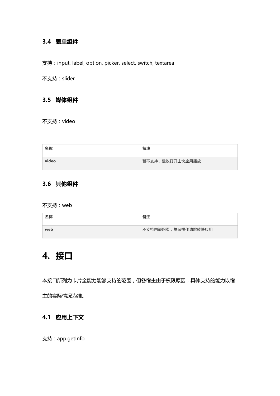### <span id="page-9-0"></span>**3.4 表单组件**

支持: input, label, option, picker, select, switch, textarea

不支持:slider

#### <span id="page-9-1"></span>**3.5 媒体组件**

不支持:video

| 名称    | 备注              |
|-------|-----------------|
| video | 暂不支持,建议打开主快应用播放 |

# <span id="page-9-2"></span>**3.6 其他组件**

不支持:web

| 名称  | 备注                 |
|-----|--------------------|
| web | 不支持内嵌网页,复杂操作请跳转快应用 |

# <span id="page-9-3"></span>**4. 接口**

本接口所列为卡片全能力能够支持的范围,但各宿主由于权限原因,具体支持的能力以宿

<span id="page-9-4"></span>主的实际情况为准。

# **4.1 应用上下文**

支持:app.getInfo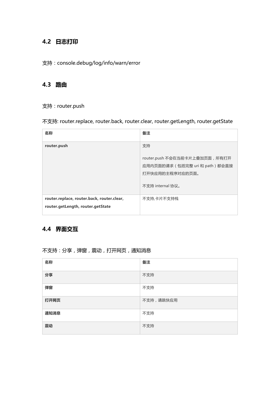# <span id="page-10-0"></span>**4.2 日志打印**

#### 支持:console.debug/log/info/warn/error

#### <span id="page-10-1"></span>**4.3 路由**

#### 支持:router.push

#### 不支持: router.replace, router.back, router.clear, router.getLength, router.getState

| 名称                                                                              | 备注                                                                                                             |
|---------------------------------------------------------------------------------|----------------------------------------------------------------------------------------------------------------|
| router.push                                                                     | 支持<br>router.push 不会在当前卡片上叠加页面, 所有打开<br>应用内页面的请求 (包括完整 uri 和 path) 都会直接<br>打开快应用的主程序对应的页面。<br>不支持 internal 协议。 |
| router.replace, router.back, router.clear,<br>router.getLength, router.getState | 不支持,卡片不支持栈                                                                                                     |

### <span id="page-10-2"></span>**4.4 界面交互**

| 名称   | 备注        |
|------|-----------|
| 分享   | 不支持       |
| 弹窗   | 不支持       |
| 打开网页 | 不支持,请跳快应用 |
| 通知消息 | 不支持       |
| 震动   | 不支持       |

#### 不支持:分享,弹窗,震动,打开网页,通知消息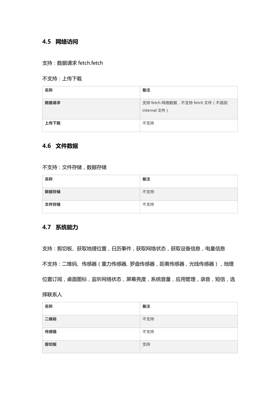#### <span id="page-11-0"></span>**4.5 网络访问**

#### 支持:数据请求 fetch.fetch

#### 不支持:上传下载

| 名称   | 备注                                               |
|------|--------------------------------------------------|
| 数据请求 | 支持 fetch 网络数据, 不支持 fetch 文件 (不返回<br>internal 文件) |
| 上传下载 | 不支持                                              |

#### <span id="page-11-1"></span>**4.6 文件数据**

#### 不支持:文件存储,数据存储

| 名称   | 备注  |
|------|-----|
| 数据存储 | 不支持 |
| 文件存储 | 不支持 |

#### <span id="page-11-2"></span>**4.7 系统能力**

支持:剪切板、获取地理位置,日历事件,获取网络状态,获取设备信息,电量信息 不支持:二维码、传感器(重力传感器, 罗盘传感器,距离传感器,光线传感器),地理 位置订阅,桌面图标,监听网络状态,屏幕亮度,系统音量,应用管理,录音,短信,选 择联系人

| 名称  | 备注  |
|-----|-----|
| 二维码 | 不支持 |
| 传感器 | 不支持 |
| 剪切板 | 支持  |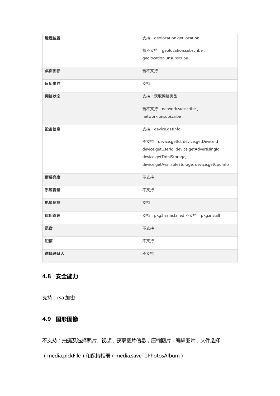| 地理位置  | 支持: geolocation.getLocation                   |
|-------|-----------------------------------------------|
|       | 暂不支持: geolocation.subscribe,                  |
|       | geolocation.unsubscribe                       |
| 桌面图标  | 暂不支持                                          |
| 日历事件  | 支持                                            |
| 网络状态  | 支持:获取网络类型                                     |
|       | 暂不支持: network.subscribe,                      |
|       | network.unsubscribe                           |
|       |                                               |
| 设备信息  | 支持: device.getInfo                            |
|       | 不支持: device.getId, device.getDeviceId,        |
|       | device.getUserId, device.getAdvertisingId,    |
|       | device.getTotalStorage,                       |
|       | device.getAvailableStorage, device.getCpuInfo |
|       |                                               |
| 屏幕亮度  | 不支持                                           |
| 系统音量  | 不支持                                           |
| 电量信息  | 支持                                            |
| 应用管理  | 支持: pkg.hasInstalled 不支持: pkg.install         |
| 录音    | 不支持                                           |
| 短信    | 不支持                                           |
| 选择联系人 | 不支持                                           |

# <span id="page-12-0"></span>**4.8 安全能力**

支持:rsa 加密

### <span id="page-12-1"></span>**4.9 图形图像**

不支持:拍摄及选择照片、视频,获取图片信息,压缩图片,编辑图片,文件选择

( media.pickFile ) 和保持相册 ( media.saveToPhotosAlbum )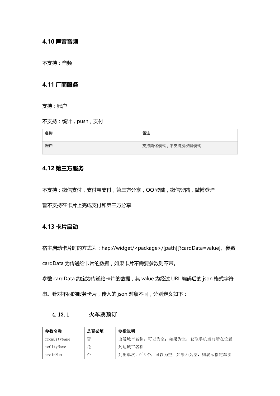#### <span id="page-13-0"></span>**4.10 声音音频**

<span id="page-13-1"></span>不支持:音频

#### **4.11 厂商服务**

支持:账户

不支持:统计,push,支付

| 名称 | 备注              |
|----|-----------------|
| 账户 | 支持简化模式,不支持授权码模式 |

#### <span id="page-13-2"></span>**4.12 第三方服务**

不支持:微信支付,支付宝支付,第三方分享,QQ 登陆,微信登陆,微博登陆 暂不支持在卡片上完成支付和第三方分享

#### <span id="page-13-3"></span>**4.13 卡片启动**

宿主启动卡片时的方式为:hap://widget/<package>/[path][?cardData=value]。参数

cardData 为传递给卡片的数据, 如果卡片不需要参数则不带。

参数 cardData 约定为传递给卡片的数据, 其 value 为经过 URL 编码后的 json 格式字符

<span id="page-13-4"></span>串。针对不同的服务卡片,传入的 json 对象不同,分别定义如下:

| 4.13.1 | 火车票预订 |
|--------|-------|
|        |       |

| 参数名称         | 是否必填 | 参数说明                             |
|--------------|------|----------------------------------|
| fromCitvName | 否    | 出发城市名称, 可以为空; 如果为空, 获取手机当前所在位置   |
| toCityName   | 是    | 到达城市名称                           |
| trainNum     | 否    | 列出车次, 0~3个, 可以为空; 如果不为空, 则展示指定车次 |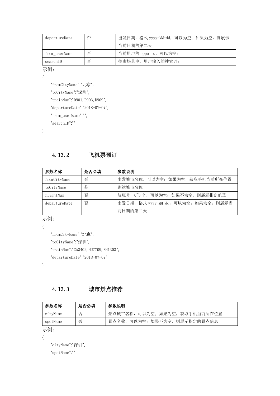| departureDate | 否 | 出发日期,格式 yyyy-MM-dd,可以为空;如果为空,则展示 |
|---------------|---|----------------------------------|
|               |   | 当前日期的第二天                         |
| from userName | 否 | 当前用户的 oppo id, 可以为空;             |
| searchID      | 否 | 搜索场景中, 用户输入的搜索词:                 |

示例:

{

"fromCityName":"北京",

"toCityName":"深圳",

"trainNum":"D901, D903, D909",

"departureDate":"2018-07-07",

"from\_userName":"",

"searchID":""

<span id="page-14-0"></span>}

#### 4.13.2 飞机票预订

| 参数名称          | 是否必填 | 参数说明                               |
|---------------|------|------------------------------------|
| fromCityName  | 否    | 出发城市名称, 可以为空; 如果为空, 获取手机当前所在位置     |
| toCityName    | 是    | 到达城市名称                             |
| flightNum     | 否    | 航班号, 0~3个, 可以为空; 如果不为空, 则展示指定航班    |
| departureDate | 否    | 出发日期,格式 yyyy-MM-dd,可以为空; 如果为空,则展示当 |
|               |      | 前日期的第二天                            |

示例:

{

```
"fromCityName":"北京",
```
"toCityName":"深圳",

"trainNum":"CA3402,HU7709,ZH1303",

```
"departureDate":"2018-07-07"
```
}

#### <span id="page-14-1"></span>4.13.3 城市景点推荐

| 参数名称     | 是否必填 | 参数说明                          |
|----------|------|-------------------------------|
| cityName | 否    | 景点城市名称,可以为空; 如果为空, 获取手机当前所在位置 |
| spotName | 丕    | 景点名称,可以为空;如果不为空,则展示指定的景点信息    |

示例:

{

"cityName":"深圳",

"spotName":""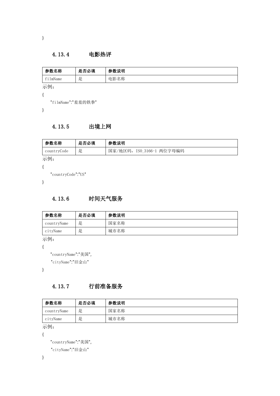<span id="page-15-0"></span>}

#### 4.13.4 电影热评

| 参数名称     | 是否必填 | 参数说明 |
|----------|------|------|
| filmName | 是    | 电影名称 |
| 示例:      |      |      |
|          |      |      |

"filmName":"羞羞的铁拳"

<span id="page-15-1"></span>}

#### 4.13.5 出境上网

| 参数名称                           | 是否必填 | 参数说明                         |
|--------------------------------|------|------------------------------|
| countryCode                    | 是    | 国家/地区码,<br>ISO 3166-1 两位字母编码 |
| $\rightarrow$ to $\rightarrow$ |      |                              |

示例:

{

"countryCode":"US"

<span id="page-15-2"></span>}

#### 4.13.6 时间天气服务

| 参数名称        | 是否必填 | 参数说明 |
|-------------|------|------|
| countryName | 是    | 国家名称 |
| cityName    | 是    | 城市名称 |

示例:

{

"countryName":"美国",

"cityName":"旧金山"

<span id="page-15-3"></span>}

#### 4.13.7 行前准备服务

| 参数名称        | 是否必填 | 参数说明 |
|-------------|------|------|
| countryName | 是    | 国家名称 |
| cityName    | 是    | 城市名称 |

示例:

{

```
"countryName":"美国",
```

```
"cityName":"旧金山"
```
}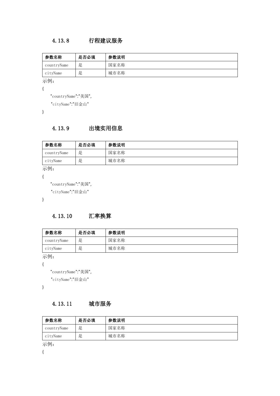### <span id="page-16-0"></span>4.13.8 行程建议服务

| 参数名称        | 是否必填 | 参数说明 |
|-------------|------|------|
| countryName | 是    | 国家名称 |
| cityName    | 是    | 城市名称 |

示例:

```
{
```
"countryName":"美国",

"cityName":"旧金山"

<span id="page-16-1"></span>}

# 4.13.9 出境实用信息

| 参数名称        | 是否必填 | 参数说明 |
|-------------|------|------|
| countryName | 是    | 国家名称 |
| cityName    | 是    | 城市名称 |

示例:

{

```
"countryName":"美国",
```
"cityName":"旧金山"

<span id="page-16-2"></span>}

#### 4.13.10 汇率换算

| 参数名称        | 是否必填 | 参数说明 |
|-------------|------|------|
| countryName | 是    | 国家名称 |
| cityName    | 是    | 城市名称 |

示例:

{

```
"countryName":"美国",
```
"cityName":"旧金山"

<span id="page-16-3"></span>}

# 4.13.11 城市服务

| 参数名称        | 是否必填 | 参数说明 |
|-------------|------|------|
| countryName | 是    | 国家名称 |
| cityName    | 是    | 城市名称 |
|             |      |      |

示例:

{